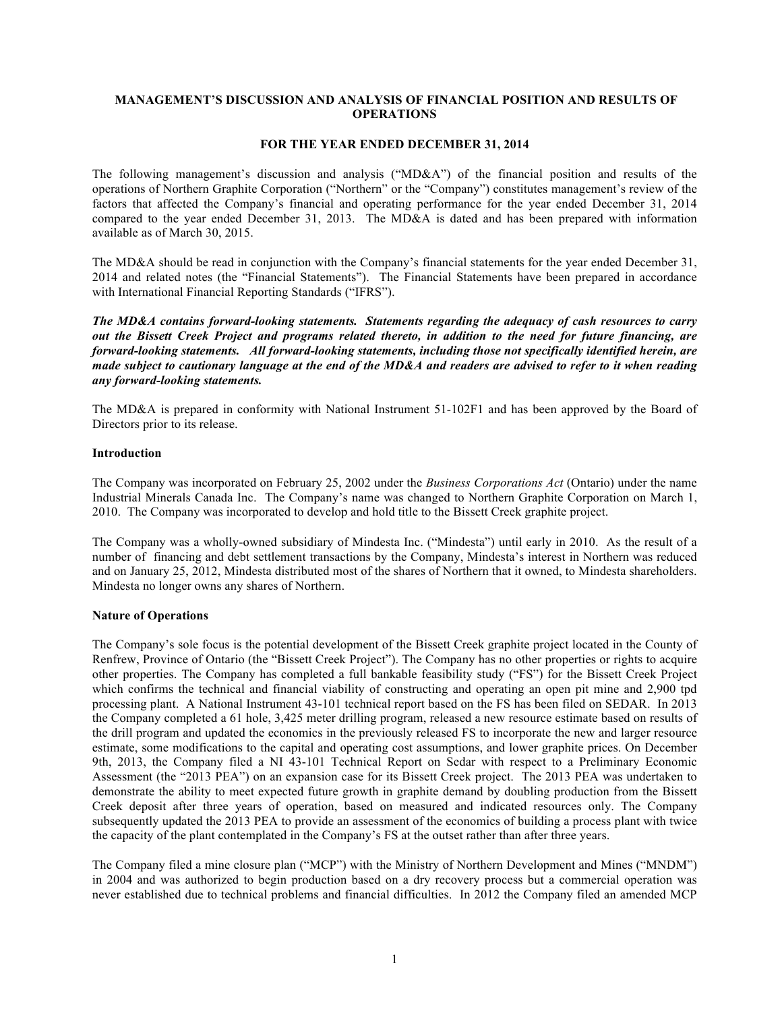## **MANAGEMENT'S DISCUSSION AND ANALYSIS OF FINANCIAL POSITION AND RESULTS OF OPERATIONS**

### **FOR THE YEAR ENDED DECEMBER 31, 2014**

The following management's discussion and analysis ("MD&A") of the financial position and results of the operations of Northern Graphite Corporation ("Northern" or the "Company") constitutes management's review of the factors that affected the Company's financial and operating performance for the year ended December 31, 2014 compared to the year ended December 31, 2013. The MD&A is dated and has been prepared with information available as of March 30, 2015.

The MD&A should be read in conjunction with the Company's financial statements for the year ended December 31, 2014 and related notes (the "Financial Statements"). The Financial Statements have been prepared in accordance with International Financial Reporting Standards ("IFRS").

*The MD&A contains forward-looking statements. Statements regarding the adequacy of cash resources to carry out the Bissett Creek Project and programs related thereto, in addition to the need for future financing, are forward-looking statements. All forward-looking statements, including those not specifically identified herein, are made subject to cautionary language at the end of the MD&A and readers are advised to refer to it when reading any forward-looking statements.*

The MD&A is prepared in conformity with National Instrument 51-102F1 and has been approved by the Board of Directors prior to its release.

#### **Introduction**

The Company was incorporated on February 25, 2002 under the *Business Corporations Act* (Ontario) under the name Industrial Minerals Canada Inc. The Company's name was changed to Northern Graphite Corporation on March 1, 2010. The Company was incorporated to develop and hold title to the Bissett Creek graphite project.

The Company was a wholly-owned subsidiary of Mindesta Inc. ("Mindesta") until early in 2010. As the result of a number of financing and debt settlement transactions by the Company, Mindesta's interest in Northern was reduced and on January 25, 2012, Mindesta distributed most of the shares of Northern that it owned, to Mindesta shareholders. Mindesta no longer owns any shares of Northern.

#### **Nature of Operations**

The Company's sole focus is the potential development of the Bissett Creek graphite project located in the County of Renfrew, Province of Ontario (the "Bissett Creek Project"). The Company has no other properties or rights to acquire other properties. The Company has completed a full bankable feasibility study ("FS") for the Bissett Creek Project which confirms the technical and financial viability of constructing and operating an open pit mine and 2,900 tpd processing plant. A National Instrument 43-101 technical report based on the FS has been filed on SEDAR. In 2013 the Company completed a 61 hole, 3,425 meter drilling program, released a new resource estimate based on results of the drill program and updated the economics in the previously released FS to incorporate the new and larger resource estimate, some modifications to the capital and operating cost assumptions, and lower graphite prices. On December 9th, 2013, the Company filed a NI 43-101 Technical Report on Sedar with respect to a Preliminary Economic Assessment (the "2013 PEA") on an expansion case for its Bissett Creek project. The 2013 PEA was undertaken to demonstrate the ability to meet expected future growth in graphite demand by doubling production from the Bissett Creek deposit after three years of operation, based on measured and indicated resources only. The Company subsequently updated the 2013 PEA to provide an assessment of the economics of building a process plant with twice the capacity of the plant contemplated in the Company's FS at the outset rather than after three years.

The Company filed a mine closure plan ("MCP") with the Ministry of Northern Development and Mines ("MNDM") in 2004 and was authorized to begin production based on a dry recovery process but a commercial operation was never established due to technical problems and financial difficulties. In 2012 the Company filed an amended MCP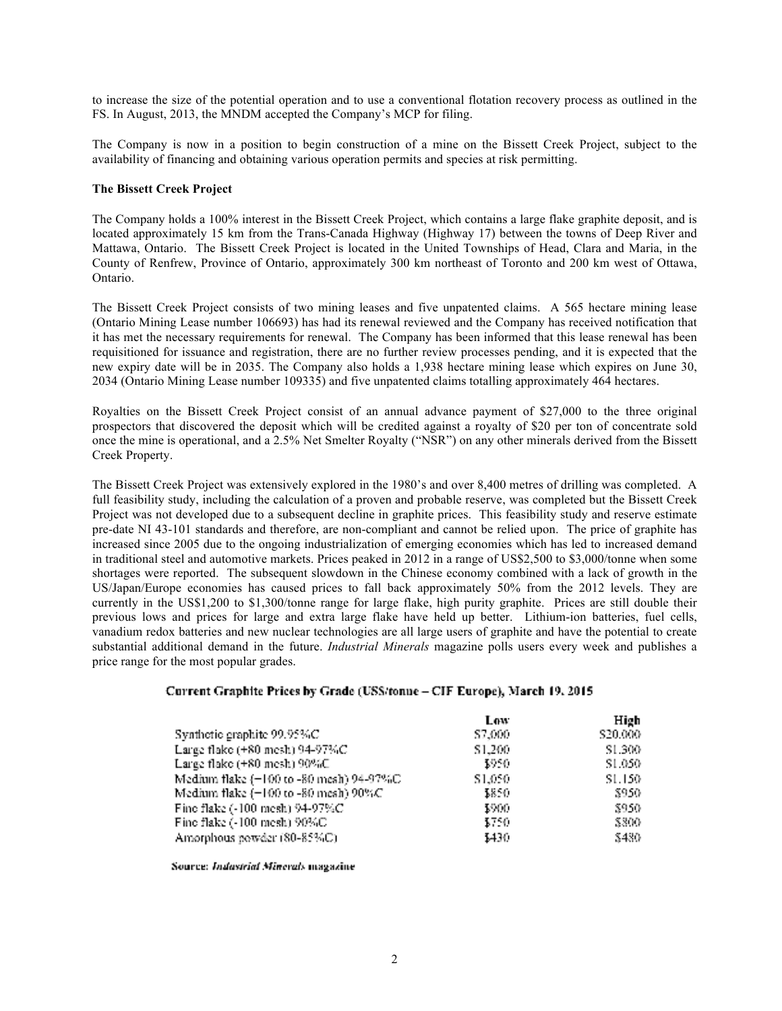to increase the size of the potential operation and to use a conventional flotation recovery process as outlined in the FS. In August, 2013, the MNDM accepted the Company's MCP for filing.

The Company is now in a position to begin construction of a mine on the Bissett Creek Project, subject to the availability of financing and obtaining various operation permits and species at risk permitting.

### **The Bissett Creek Project**

The Company holds a 100% interest in the Bissett Creek Project, which contains a large flake graphite deposit, and is located approximately 15 km from the Trans-Canada Highway (Highway 17) between the towns of Deep River and Mattawa, Ontario. The Bissett Creek Project is located in the United Townships of Head, Clara and Maria, in the County of Renfrew, Province of Ontario, approximately 300 km northeast of Toronto and 200 km west of Ottawa, Ontario.

The Bissett Creek Project consists of two mining leases and five unpatented claims. A 565 hectare mining lease (Ontario Mining Lease number 106693) has had its renewal reviewed and the Company has received notification that it has met the necessary requirements for renewal. The Company has been informed that this lease renewal has been requisitioned for issuance and registration, there are no further review processes pending, and it is expected that the new expiry date will be in 2035. The Company also holds a 1,938 hectare mining lease which expires on June 30, 2034 (Ontario Mining Lease number 109335) and five unpatented claims totalling approximately 464 hectares.

Royalties on the Bissett Creek Project consist of an annual advance payment of \$27,000 to the three original prospectors that discovered the deposit which will be credited against a royalty of \$20 per ton of concentrate sold once the mine is operational, and a 2.5% Net Smelter Royalty ("NSR") on any other minerals derived from the Bissett Creek Property.

The Bissett Creek Project was extensively explored in the 1980's and over 8,400 metres of drilling was completed. A full feasibility study, including the calculation of a proven and probable reserve, was completed but the Bissett Creek Project was not developed due to a subsequent decline in graphite prices. This feasibility study and reserve estimate pre-date NI 43-101 standards and therefore, are non-compliant and cannot be relied upon. The price of graphite has increased since 2005 due to the ongoing industrialization of emerging economies which has led to increased demand in traditional steel and automotive markets. Prices peaked in 2012 in a range of US\$2,500 to \$3,000/tonne when some shortages were reported. The subsequent slowdown in the Chinese economy combined with a lack of growth in the US/Japan/Europe economies has caused prices to fall back approximately 50% from the 2012 levels. They are currently in the US\$1,200 to \$1,300/tonne range for large flake, high purity graphite. Prices are still double their previous lows and prices for large and extra large flake have held up better. Lithium-ion batteries, fuel cells, vanadium redox batteries and new nuclear technologies are all large users of graphite and have the potential to create substantial additional demand in the future. *Industrial Minerals* magazine polls users every week and publishes a price range for the most popular grades.

# Current Graphite Prices by Grade (USS/tonue - CIF Europe), March 19, 2015

|                                          | Low.    | High     |
|------------------------------------------|---------|----------|
| Synthetic graphite 99.95%C               | S7,000. | \$20,000 |
| Large flake $(+80 \text{ mesh})$ 94-97%C | \$1,200 | SL.300   |
| Large flake (+80 mesh) 90%C              | 3950.   | SL.050   |
| Medium flake (+100 to -80 mesh) 94-97%C  | \$1,050 | SL.150   |
| Medium flake (+100 to -80 mesh) 90%C     | \$850.  | 8950     |
| Fine flake (-100 mesh) 94-97%C           | 3900.   | 8950     |
| Fine flake (-100 mesh) 90%C              | 3750.   | 8800     |
| Amorphous powder (80-85%C).              | 3430.   | \$480    |

Source: Industrial Minerals magazine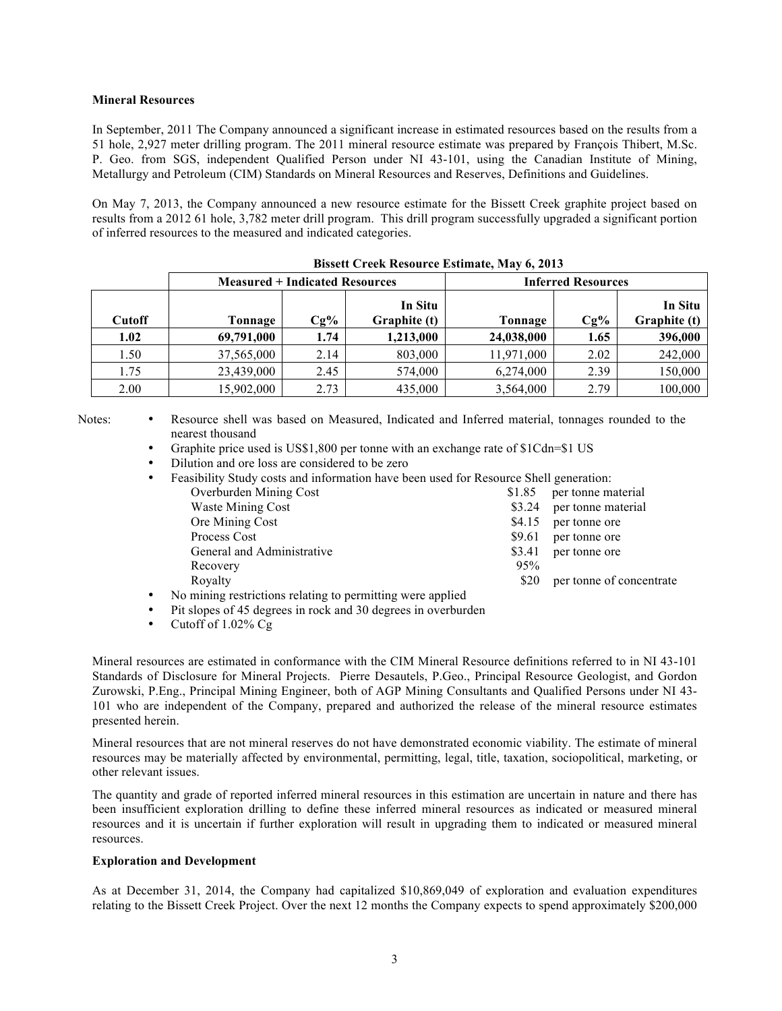## **Mineral Resources**

In September, 2011 The Company announced a significant increase in estimated resources based on the results from a 51 hole, 2,927 meter drilling program. The 2011 mineral resource estimate was prepared by François Thibert, M.Sc. P. Geo. from SGS, independent Qualified Person under NI 43-101, using the Canadian Institute of Mining, Metallurgy and Petroleum (CIM) Standards on Mineral Resources and Reserves, Definitions and Guidelines.

On May 7, 2013, the Company announced a new resource estimate for the Bissett Creek graphite project based on results from a 2012 61 hole, 3,782 meter drill program. This drill program successfully upgraded a significant portion of inferred resources to the measured and indicated categories.

| <b>Measured + Indicated Resources</b> |            |        |                         | <b>Inferred Resources</b> |        |                         |  |
|---------------------------------------|------------|--------|-------------------------|---------------------------|--------|-------------------------|--|
| <b>Cutoff</b>                         | Tonnage    | $Cg\%$ | In Situ<br>Graphite (t) | Tonnage                   | $Cg\%$ | In Situ<br>Graphite (t) |  |
| 1.02                                  | 69,791,000 | 1.74   | 1,213,000               | 24,038,000                | 1.65   | 396,000                 |  |
| 1.50                                  | 37,565,000 | 2.14   | 803,000                 | 11,971,000                | 2.02   | 242,000                 |  |
| 1.75                                  | 23,439,000 | 2.45   | 574,000                 | 6,274,000                 | 2.39   | 150,000                 |  |
| 2.00                                  | 15,902,000 | 2.73   | 435,000                 | 3,564,000                 | 2.79   | 100,000                 |  |

**Bissett Creek Resource Estimate, May 6, 2013**

Notes: • Resource shell was based on Measured, Indicated and Inferred material, tonnages rounded to the nearest thousand

- Graphite price used is US\$1,800 per tonne with an exchange rate of \$1Cdn=\$1 US
- Dilution and ore loss are considered to be zero
- Feasibility Study costs and information have been used for Resource Shell generation:<br>Overburden Mining Cost \$1.85 per tonne material Overburden Mining Cost Waste Mining Cost  $\$3.24$  per tonne material Ore Mining Cost \$4.15 per tonne ore Process Cost  $\sim$  89.61 per tonne ore General and Administrative \$3.41 per tonne ore Recovery 95% Royalty \$20 per tonne of concentrate
- No mining restrictions relating to permitting were applied
- Pit slopes of 45 degrees in rock and 30 degrees in overburden
- Cutoff of 1.02% Cg

Mineral resources are estimated in conformance with the CIM Mineral Resource definitions referred to in NI 43-101 Standards of Disclosure for Mineral Projects. Pierre Desautels, P.Geo., Principal Resource Geologist, and Gordon Zurowski, P.Eng., Principal Mining Engineer, both of AGP Mining Consultants and Qualified Persons under NI 43- 101 who are independent of the Company, prepared and authorized the release of the mineral resource estimates presented herein.

Mineral resources that are not mineral reserves do not have demonstrated economic viability. The estimate of mineral resources may be materially affected by environmental, permitting, legal, title, taxation, sociopolitical, marketing, or other relevant issues.

The quantity and grade of reported inferred mineral resources in this estimation are uncertain in nature and there has been insufficient exploration drilling to define these inferred mineral resources as indicated or measured mineral resources and it is uncertain if further exploration will result in upgrading them to indicated or measured mineral resources.

#### **Exploration and Development**

As at December 31, 2014, the Company had capitalized \$10,869,049 of exploration and evaluation expenditures relating to the Bissett Creek Project. Over the next 12 months the Company expects to spend approximately \$200,000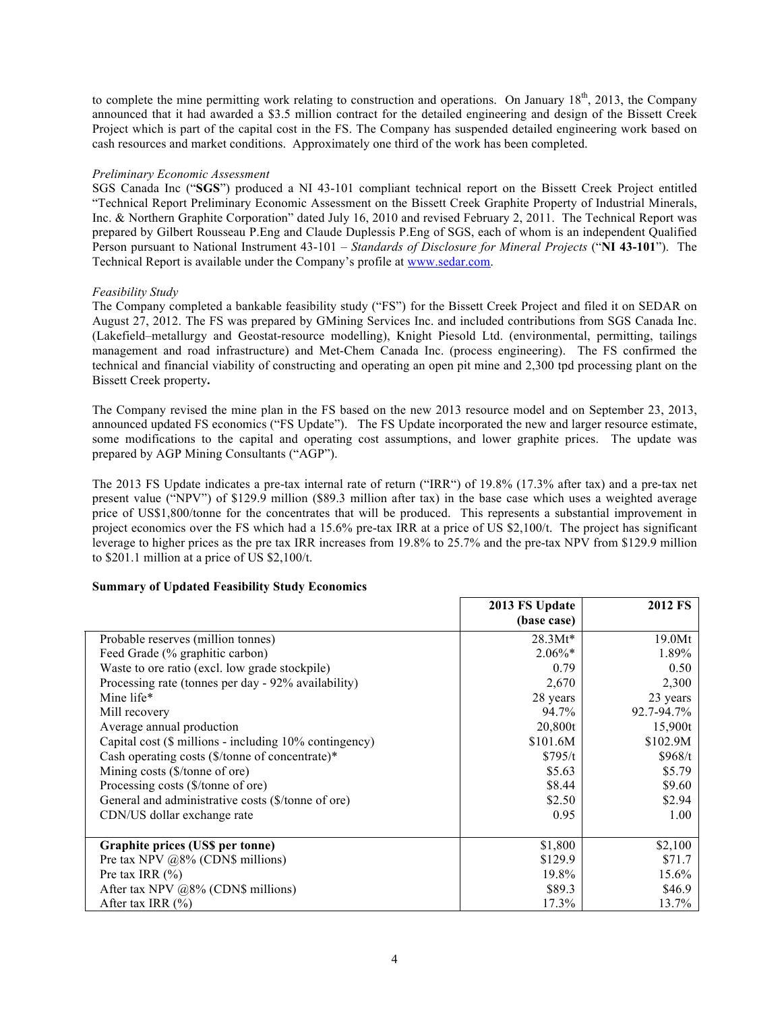to complete the mine permitting work relating to construction and operations. On January  $18<sup>th</sup>$ , 2013, the Company announced that it had awarded a \$3.5 million contract for the detailed engineering and design of the Bissett Creek Project which is part of the capital cost in the FS. The Company has suspended detailed engineering work based on cash resources and market conditions. Approximately one third of the work has been completed.

### *Preliminary Economic Assessment*

SGS Canada Inc ("**SGS**") produced a NI 43-101 compliant technical report on the Bissett Creek Project entitled "Technical Report Preliminary Economic Assessment on the Bissett Creek Graphite Property of Industrial Minerals, Inc. & Northern Graphite Corporation" dated July 16, 2010 and revised February 2, 2011. The Technical Report was prepared by Gilbert Rousseau P.Eng and Claude Duplessis P.Eng of SGS, each of whom is an independent Qualified Person pursuant to National Instrument 43-101 – *Standards of Disclosure for Mineral Projects* ("**NI 43-101**"). The Technical Report is available under the Company's profile at www.sedar.com.

## *Feasibility Study*

The Company completed a bankable feasibility study ("FS") for the Bissett Creek Project and filed it on SEDAR on August 27, 2012. The FS was prepared by GMining Services Inc. and included contributions from SGS Canada Inc. (Lakefield–metallurgy and Geostat-resource modelling), Knight Piesold Ltd. (environmental, permitting, tailings management and road infrastructure) and Met-Chem Canada Inc. (process engineering). The FS confirmed the technical and financial viability of constructing and operating an open pit mine and 2,300 tpd processing plant on the Bissett Creek property**.**

The Company revised the mine plan in the FS based on the new 2013 resource model and on September 23, 2013, announced updated FS economics ("FS Update"). The FS Update incorporated the new and larger resource estimate, some modifications to the capital and operating cost assumptions, and lower graphite prices. The update was prepared by AGP Mining Consultants ("AGP").

The 2013 FS Update indicates a pre-tax internal rate of return ("IRR") of 19.8% (17.3% after tax) and a pre-tax net present value ("NPV") of \$129.9 million (\$89.3 million after tax) in the base case which uses a weighted average price of US\$1,800/tonne for the concentrates that will be produced. This represents a substantial improvement in project economics over the FS which had a 15.6% pre-tax IRR at a price of US \$2,100/t. The project has significant leverage to higher prices as the pre tax IRR increases from 19.8% to 25.7% and the pre-tax NPV from \$129.9 million to \$201.1 million at a price of US \$2,100/t.

# **Summary of Updated Feasibility Study Economics**

|                                                             | 2013 FS Update | <b>2012 FS</b> |
|-------------------------------------------------------------|----------------|----------------|
|                                                             | (base case)    |                |
| Probable reserves (million tonnes)                          | $28.3Mt*$      | 19.0Mt         |
| Feed Grade (% graphitic carbon)                             | $2.06\%*$      | 1.89%          |
| Waste to ore ratio (excl. low grade stockpile)              | 0.79           | 0.50           |
| Processing rate (tonnes per day - 92% availability)         | 2,670          | 2,300          |
| Mine life*                                                  | 28 years       | 23 years       |
| Mill recovery                                               | 94.7%          | 92.7-94.7%     |
| Average annual production                                   | 20,800t        | 15,900t        |
| Capital cost (\$ millions - including 10% contingency)      | \$101.6M       | \$102.9M       |
| Cash operating costs $(\frac{1}{2})$ tonne of concentrate)* | \$795/t        | \$968/t        |
| Mining costs (\$/tonne of ore)                              | \$5.63         | \$5.79         |
| Processing costs (\$/tonne of ore)                          | \$8.44         | \$9.60         |
| General and administrative costs (\$/tonne of ore)          | \$2.50         | \$2.94         |
| CDN/US dollar exchange rate                                 | 0.95           | 1.00           |
|                                                             |                |                |
| Graphite prices (US\$ per tonne)                            | \$1,800        | \$2,100        |
| Pre tax NPV $@8\%$ (CDN\$ millions)                         | \$129.9        | \$71.7         |
| Pre tax IRR $(\% )$                                         | 19.8%          | 15.6%          |
| After tax NPV @8% (CDN\$ millions)                          | \$89.3         | \$46.9         |
| After tax IRR $(\% )$                                       | 17.3%          | 13.7%          |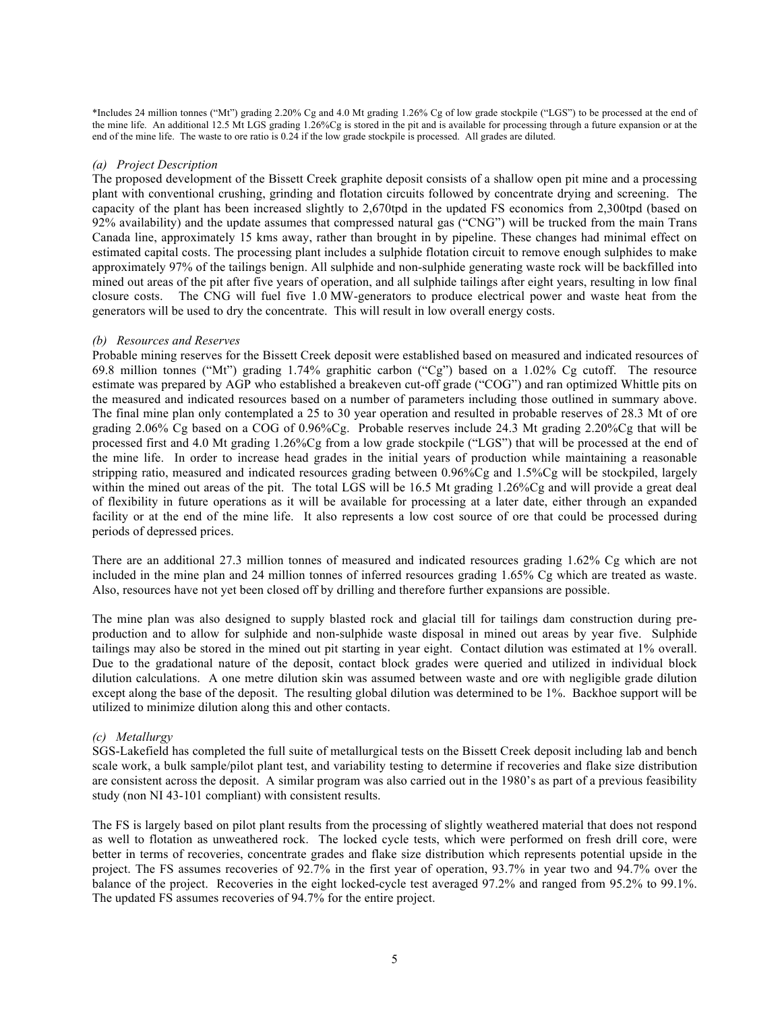\*Includes 24 million tonnes ("Mt") grading 2.20% Cg and 4.0 Mt grading 1.26% Cg of low grade stockpile ("LGS") to be processed at the end of the mine life. An additional 12.5 Mt LGS grading 1.26%Cg is stored in the pit and is available for processing through a future expansion or at the end of the mine life. The waste to ore ratio is 0.24 if the low grade stockpile is processed. All grades are diluted.

#### *(a) Project Description*

The proposed development of the Bissett Creek graphite deposit consists of a shallow open pit mine and a processing plant with conventional crushing, grinding and flotation circuits followed by concentrate drying and screening. The capacity of the plant has been increased slightly to 2,670tpd in the updated FS economics from 2,300tpd (based on 92% availability) and the update assumes that compressed natural gas ("CNG") will be trucked from the main Trans Canada line, approximately 15 kms away, rather than brought in by pipeline. These changes had minimal effect on estimated capital costs. The processing plant includes a sulphide flotation circuit to remove enough sulphides to make approximately 97% of the tailings benign. All sulphide and non-sulphide generating waste rock will be backfilled into mined out areas of the pit after five years of operation, and all sulphide tailings after eight years, resulting in low final closure costs. The CNG will fuel five 1.0 MW-generators to produce electrical power and waste heat from the generators will be used to dry the concentrate. This will result in low overall energy costs.

## *(b) Resources and Reserves*

Probable mining reserves for the Bissett Creek deposit were established based on measured and indicated resources of 69.8 million tonnes ("Mt") grading 1.74% graphitic carbon ("Cg") based on a 1.02% Cg cutoff. The resource estimate was prepared by AGP who established a breakeven cut-off grade ("COG") and ran optimized Whittle pits on the measured and indicated resources based on a number of parameters including those outlined in summary above. The final mine plan only contemplated a 25 to 30 year operation and resulted in probable reserves of 28.3 Mt of ore grading 2.06% Cg based on a COG of 0.96%Cg. Probable reserves include 24.3 Mt grading 2.20%Cg that will be processed first and 4.0 Mt grading 1.26%Cg from a low grade stockpile ("LGS") that will be processed at the end of the mine life. In order to increase head grades in the initial years of production while maintaining a reasonable stripping ratio, measured and indicated resources grading between 0.96%Cg and 1.5%Cg will be stockpiled, largely within the mined out areas of the pit. The total LGS will be 16.5 Mt grading 1.26%Cg and will provide a great deal of flexibility in future operations as it will be available for processing at a later date, either through an expanded facility or at the end of the mine life. It also represents a low cost source of ore that could be processed during periods of depressed prices.

There are an additional 27.3 million tonnes of measured and indicated resources grading 1.62% Cg which are not included in the mine plan and 24 million tonnes of inferred resources grading 1.65% Cg which are treated as waste. Also, resources have not yet been closed off by drilling and therefore further expansions are possible.

The mine plan was also designed to supply blasted rock and glacial till for tailings dam construction during preproduction and to allow for sulphide and non-sulphide waste disposal in mined out areas by year five. Sulphide tailings may also be stored in the mined out pit starting in year eight. Contact dilution was estimated at 1% overall. Due to the gradational nature of the deposit, contact block grades were queried and utilized in individual block dilution calculations. A one metre dilution skin was assumed between waste and ore with negligible grade dilution except along the base of the deposit. The resulting global dilution was determined to be 1%. Backhoe support will be utilized to minimize dilution along this and other contacts.

# *(c) Metallurgy*

SGS-Lakefield has completed the full suite of metallurgical tests on the Bissett Creek deposit including lab and bench scale work, a bulk sample/pilot plant test, and variability testing to determine if recoveries and flake size distribution are consistent across the deposit. A similar program was also carried out in the 1980's as part of a previous feasibility study (non NI 43-101 compliant) with consistent results.

The FS is largely based on pilot plant results from the processing of slightly weathered material that does not respond as well to flotation as unweathered rock. The locked cycle tests, which were performed on fresh drill core, were better in terms of recoveries, concentrate grades and flake size distribution which represents potential upside in the project. The FS assumes recoveries of 92.7% in the first year of operation, 93.7% in year two and 94.7% over the balance of the project. Recoveries in the eight locked-cycle test averaged 97.2% and ranged from 95.2% to 99.1%. The updated FS assumes recoveries of 94.7% for the entire project.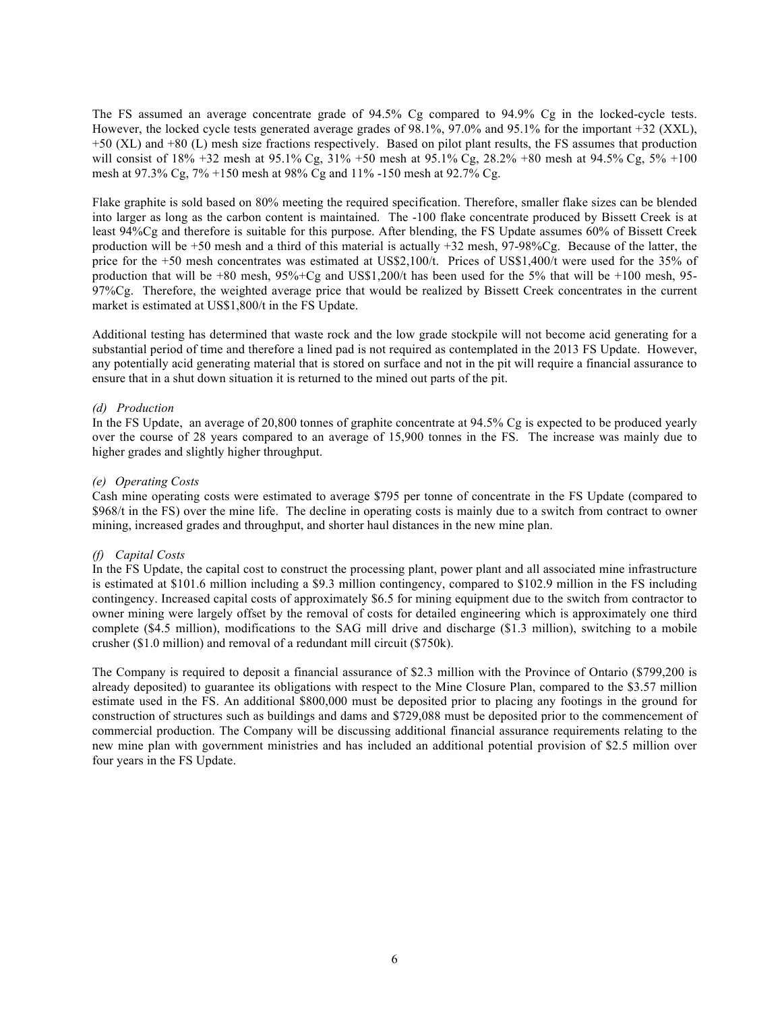The FS assumed an average concentrate grade of 94.5% Cg compared to 94.9% Cg in the locked-cycle tests. However, the locked cycle tests generated average grades of 98.1%, 97.0% and 95.1% for the important +32 (XXL), +50 (XL) and +80 (L) mesh size fractions respectively. Based on pilot plant results, the FS assumes that production will consist of 18% +32 mesh at 95.1% Cg, 31% +50 mesh at 95.1% Cg, 28.2% +80 mesh at 94.5% Cg, 5% +100 mesh at 97.3% Cg, 7% +150 mesh at 98% Cg and 11% -150 mesh at 92.7% Cg.

Flake graphite is sold based on 80% meeting the required specification. Therefore, smaller flake sizes can be blended into larger as long as the carbon content is maintained. The -100 flake concentrate produced by Bissett Creek is at least 94%Cg and therefore is suitable for this purpose. After blending, the FS Update assumes 60% of Bissett Creek production will be +50 mesh and a third of this material is actually +32 mesh, 97-98%Cg. Because of the latter, the price for the +50 mesh concentrates was estimated at US\$2,100/t. Prices of US\$1,400/t were used for the 35% of production that will be  $+80$  mesh,  $95\% + Cg$  and US\$1,200/t has been used for the 5% that will be  $+100$  mesh, 95-97%Cg. Therefore, the weighted average price that would be realized by Bissett Creek concentrates in the current market is estimated at US\$1,800/t in the FS Update.

Additional testing has determined that waste rock and the low grade stockpile will not become acid generating for a substantial period of time and therefore a lined pad is not required as contemplated in the 2013 FS Update. However, any potentially acid generating material that is stored on surface and not in the pit will require a financial assurance to ensure that in a shut down situation it is returned to the mined out parts of the pit.

#### *(d) Production*

In the FS Update, an average of 20,800 tonnes of graphite concentrate at 94.5% Cg is expected to be produced yearly over the course of 28 years compared to an average of 15,900 tonnes in the FS. The increase was mainly due to higher grades and slightly higher throughput.

#### *(e) Operating Costs*

Cash mine operating costs were estimated to average \$795 per tonne of concentrate in the FS Update (compared to \$968/t in the FS) over the mine life. The decline in operating costs is mainly due to a switch from contract to owner mining, increased grades and throughput, and shorter haul distances in the new mine plan.

#### *(f) Capital Costs*

In the FS Update, the capital cost to construct the processing plant, power plant and all associated mine infrastructure is estimated at \$101.6 million including a \$9.3 million contingency, compared to \$102.9 million in the FS including contingency. Increased capital costs of approximately \$6.5 for mining equipment due to the switch from contractor to owner mining were largely offset by the removal of costs for detailed engineering which is approximately one third complete (\$4.5 million), modifications to the SAG mill drive and discharge (\$1.3 million), switching to a mobile crusher (\$1.0 million) and removal of a redundant mill circuit (\$750k).

The Company is required to deposit a financial assurance of \$2.3 million with the Province of Ontario (\$799,200 is already deposited) to guarantee its obligations with respect to the Mine Closure Plan, compared to the \$3.57 million estimate used in the FS. An additional \$800,000 must be deposited prior to placing any footings in the ground for construction of structures such as buildings and dams and \$729,088 must be deposited prior to the commencement of commercial production. The Company will be discussing additional financial assurance requirements relating to the new mine plan with government ministries and has included an additional potential provision of \$2.5 million over four years in the FS Update.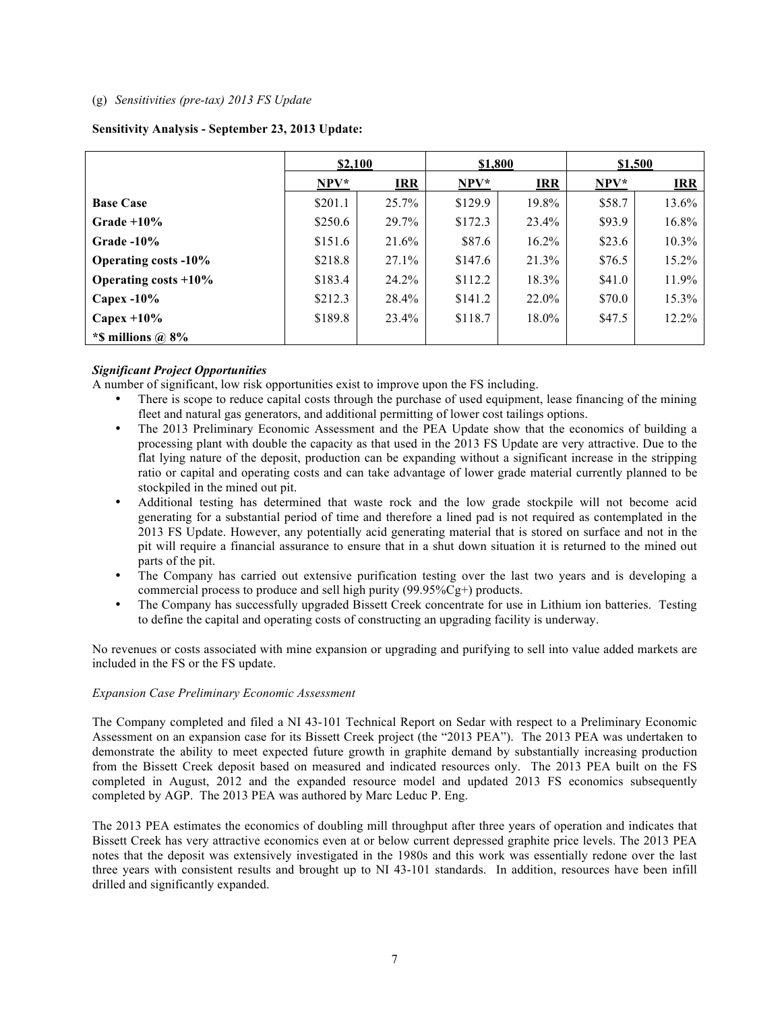### (g) *Sensitivities (pre-tax) 2013 FS Update*

## **Sensitivity Analysis - September 23, 2013 Update:**

|                             | \$2,100 |            | \$1,800 |            | \$1,500 |            |
|-----------------------------|---------|------------|---------|------------|---------|------------|
|                             | $NPV*$  | <b>IRR</b> | $NPV*$  | <b>IRR</b> | $NPV*$  | <b>IRR</b> |
| <b>Base Case</b>            | \$201.1 | 25.7%      | \$129.9 | 19.8%      | \$58.7  | 13.6%      |
| $Grade + 10%$               | \$250.6 | 29.7%      | \$172.3 | 23.4%      | \$93.9  | 16.8%      |
| $Grade -10%$                | \$151.6 | 21.6%      | \$87.6  | $16.2\%$   | \$23.6  | $10.3\%$   |
| <b>Operating costs -10%</b> | \$218.8 | $27.1\%$   | \$147.6 | 21.3%      | \$76.5  | $15.2\%$   |
| Operating costs $+10\%$     | \$183.4 | 24.2%      | \$112.2 | 18.3%      | \$41.0  | 11.9%      |
| Capex $-10\%$               | \$212.3 | 28.4%      | \$141.2 | 22.0%      | \$70.0  | 15.3%      |
| Capex $+10\%$               | \$189.8 | 23.4%      | \$118.7 | $18.0\%$   | \$47.5  | $12.2\%$   |
| *\$ millions $\omega$ 8%    |         |            |         |            |         |            |

# *Significant Project Opportunities*

A number of significant, low risk opportunities exist to improve upon the FS including.

- There is scope to reduce capital costs through the purchase of used equipment, lease financing of the mining fleet and natural gas generators, and additional permitting of lower cost tailings options.
- The 2013 Preliminary Economic Assessment and the PEA Update show that the economics of building a processing plant with double the capacity as that used in the 2013 FS Update are very attractive. Due to the flat lying nature of the deposit, production can be expanding without a significant increase in the stripping ratio or capital and operating costs and can take advantage of lower grade material currently planned to be stockpiled in the mined out pit.
- Additional testing has determined that waste rock and the low grade stockpile will not become acid generating for a substantial period of time and therefore a lined pad is not required as contemplated in the 2013 FS Update. However, any potentially acid generating material that is stored on surface and not in the pit will require a financial assurance to ensure that in a shut down situation it is returned to the mined out parts of the pit.
- The Company has carried out extensive purification testing over the last two years and is developing a commercial process to produce and sell high purity (99.95%Cg+) products.
- The Company has successfully upgraded Bissett Creek concentrate for use in Lithium ion batteries. Testing to define the capital and operating costs of constructing an upgrading facility is underway.

No revenues or costs associated with mine expansion or upgrading and purifying to sell into value added markets are included in the FS or the FS update.

#### *Expansion Case Preliminary Economic Assessment*

The Company completed and filed a NI 43-101 Technical Report on Sedar with respect to a Preliminary Economic Assessment on an expansion case for its Bissett Creek project (the "2013 PEA"). The 2013 PEA was undertaken to demonstrate the ability to meet expected future growth in graphite demand by substantially increasing production from the Bissett Creek deposit based on measured and indicated resources only. The 2013 PEA built on the FS completed in August, 2012 and the expanded resource model and updated 2013 FS economics subsequently completed by AGP. The 2013 PEA was authored by Marc Leduc P. Eng.

The 2013 PEA estimates the economics of doubling mill throughput after three years of operation and indicates that Bissett Creek has very attractive economics even at or below current depressed graphite price levels. The 2013 PEA notes that the deposit was extensively investigated in the 1980s and this work was essentially redone over the last three years with consistent results and brought up to NI 43-101 standards. In addition, resources have been infill drilled and significantly expanded.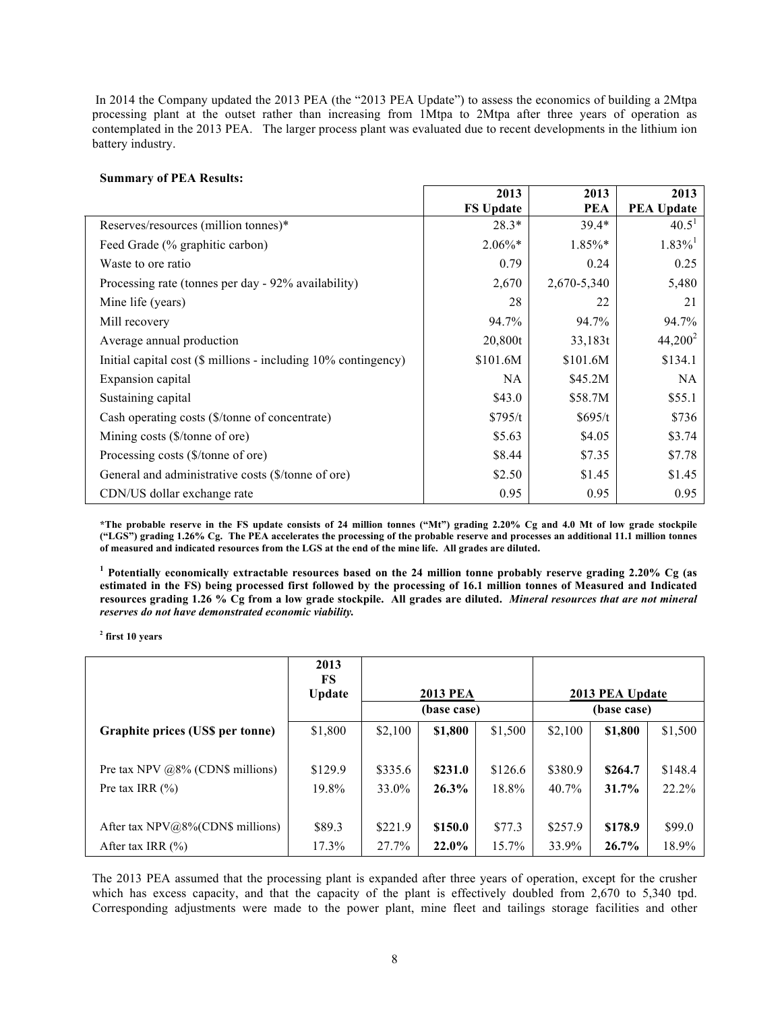In 2014 the Company updated the 2013 PEA (the "2013 PEA Update") to assess the economics of building a 2Mtpa processing plant at the outset rather than increasing from 1Mtpa to 2Mtpa after three years of operation as contemplated in the 2013 PEA. The larger process plant was evaluated due to recent developments in the lithium ion battery industry.

#### **Summary of PEA Results:**

|                                                                | 2013             | 2013        | 2013                  |
|----------------------------------------------------------------|------------------|-------------|-----------------------|
|                                                                | <b>FS Update</b> | <b>PEA</b>  | <b>PEA Update</b>     |
| Reserves/resources (million tonnes)*                           | $28.3*$          | $39.4*$     | 40.5 <sup>1</sup>     |
| Feed Grade (% graphitic carbon)                                | $2.06\%*$        | $1.85\%*$   | $1.83\%$ <sup>1</sup> |
| Waste to ore ratio                                             | 0.79             | 0.24        | 0.25                  |
| Processing rate (tonnes per day - 92% availability)            | 2,670            | 2,670-5,340 | 5,480                 |
| Mine life (years)                                              | 28               | 22          | 21                    |
| Mill recovery                                                  | 94.7%            | 94.7%       | 94.7%                 |
| Average annual production                                      | 20,800t          | 33,183t     | $44,200^2$            |
| Initial capital cost (\$ millions - including 10% contingency) | \$101.6M         | \$101.6M    | \$134.1               |
| Expansion capital                                              | <b>NA</b>        | \$45.2M\$   | NA                    |
| Sustaining capital                                             | \$43.0           | \$58.7M     | \$55.1                |
| Cash operating costs (\$/tonne of concentrate)                 | \$795/t          | \$695/t     | \$736                 |
| Mining costs (\$/tonne of ore)                                 | \$5.63           | \$4.05      | \$3.74                |
| Processing costs (\$/tonne of ore)                             | \$8.44           | \$7.35      | \$7.78                |
| General and administrative costs (\$/tonne of ore)             | \$2.50           | \$1.45      | \$1.45                |
| CDN/US dollar exchange rate                                    | 0.95             | 0.95        | 0.95                  |

**\*The probable reserve in the FS update consists of 24 million tonnes ("Mt") grading 2.20% Cg and 4.0 Mt of low grade stockpile ("LGS") grading 1.26% Cg. The PEA accelerates the processing of the probable reserve and processes an additional 11.1 million tonnes of measured and indicated resources from the LGS at the end of the mine life. All grades are diluted.**

**1 Potentially economically extractable resources based on the 24 million tonne probably reserve grading 2.20% Cg (as estimated in the FS) being processed first followed by the processing of 16.1 million tonnes of Measured and Indicated resources grading 1.26 % Cg from a low grade stockpile. All grades are diluted.** *Mineral resources that are not mineral reserves do not have demonstrated economic viability.* 

**2 first 10 years**

|                                      | 2013<br>FS<br><b>Update</b> |         | <b>2013 PEA</b> |          |         | 2013 PEA Update |         |
|--------------------------------------|-----------------------------|---------|-----------------|----------|---------|-----------------|---------|
|                                      |                             |         | (base case)     |          |         | (base case)     |         |
| Graphite prices (US\$ per tonne)     | \$1,800                     | \$2,100 | \$1,800         | \$1,500  | \$2,100 | \$1,800         | \$1,500 |
|                                      |                             |         |                 |          |         |                 |         |
| Pre tax NPV $@8\%$ (CDN\$ millions)  | \$129.9                     | \$335.6 | \$231.0         | \$126.6  | \$380.9 | \$264.7         | \$148.4 |
| Pre tax IRR $(\% )$                  | 19.8%                       | 33.0%   | $26.3\%$        | 18.8%    | 40.7%   | 31.7%           | 22.2%   |
|                                      |                             |         |                 |          |         |                 |         |
| After tax $NPV@8\%$ (CDN\$ millions) | \$89.3                      | \$221.9 | \$150.0         | \$77.3   | \$257.9 | \$178.9         | \$99.0  |
| After tax IRR $(\% )$                | 17.3%                       | 27.7%   | 22.0%           | $15.7\%$ | 33.9%   | 26.7%           | 18.9%   |

The 2013 PEA assumed that the processing plant is expanded after three years of operation, except for the crusher which has excess capacity, and that the capacity of the plant is effectively doubled from 2,670 to 5,340 tpd. Corresponding adjustments were made to the power plant, mine fleet and tailings storage facilities and other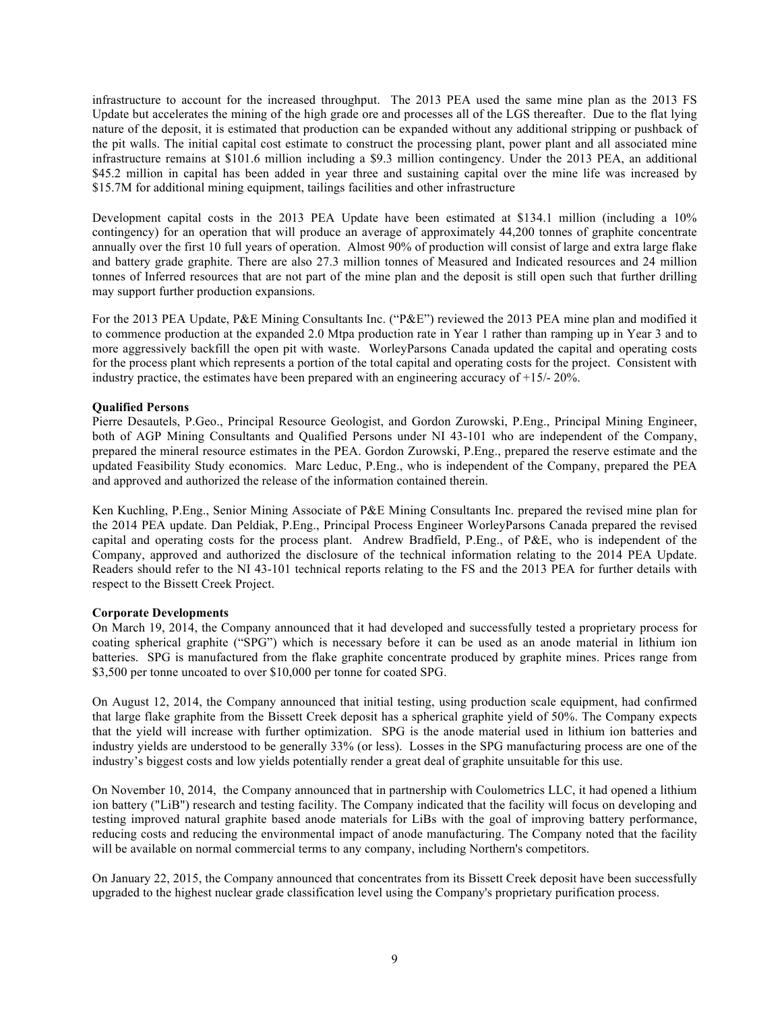infrastructure to account for the increased throughput. The 2013 PEA used the same mine plan as the 2013 FS Update but accelerates the mining of the high grade ore and processes all of the LGS thereafter. Due to the flat lying nature of the deposit, it is estimated that production can be expanded without any additional stripping or pushback of the pit walls. The initial capital cost estimate to construct the processing plant, power plant and all associated mine infrastructure remains at \$101.6 million including a \$9.3 million contingency. Under the 2013 PEA, an additional \$45.2 million in capital has been added in year three and sustaining capital over the mine life was increased by \$15.7M for additional mining equipment, tailings facilities and other infrastructure

Development capital costs in the 2013 PEA Update have been estimated at \$134.1 million (including a 10% contingency) for an operation that will produce an average of approximately 44,200 tonnes of graphite concentrate annually over the first 10 full years of operation. Almost 90% of production will consist of large and extra large flake and battery grade graphite. There are also 27.3 million tonnes of Measured and Indicated resources and 24 million tonnes of Inferred resources that are not part of the mine plan and the deposit is still open such that further drilling may support further production expansions.

For the 2013 PEA Update, P&E Mining Consultants Inc. ("P&E") reviewed the 2013 PEA mine plan and modified it to commence production at the expanded 2.0 Mtpa production rate in Year 1 rather than ramping up in Year 3 and to more aggressively backfill the open pit with waste. WorleyParsons Canada updated the capital and operating costs for the process plant which represents a portion of the total capital and operating costs for the project. Consistent with industry practice, the estimates have been prepared with an engineering accuracy of +15/- 20%.

## **Qualified Persons**

Pierre Desautels, P.Geo., Principal Resource Geologist, and Gordon Zurowski, P.Eng., Principal Mining Engineer, both of AGP Mining Consultants and Qualified Persons under NI 43-101 who are independent of the Company, prepared the mineral resource estimates in the PEA. Gordon Zurowski, P.Eng., prepared the reserve estimate and the updated Feasibility Study economics. Marc Leduc, P.Eng., who is independent of the Company, prepared the PEA and approved and authorized the release of the information contained therein.

Ken Kuchling, P.Eng., Senior Mining Associate of P&E Mining Consultants Inc. prepared the revised mine plan for the 2014 PEA update. Dan Peldiak, P.Eng., Principal Process Engineer WorleyParsons Canada prepared the revised capital and operating costs for the process plant. Andrew Bradfield, P.Eng., of P&E, who is independent of the Company, approved and authorized the disclosure of the technical information relating to the 2014 PEA Update. Readers should refer to the NI 43-101 technical reports relating to the FS and the 2013 PEA for further details with respect to the Bissett Creek Project.

#### **Corporate Developments**

On March 19, 2014, the Company announced that it had developed and successfully tested a proprietary process for coating spherical graphite ("SPG") which is necessary before it can be used as an anode material in lithium ion batteries. SPG is manufactured from the flake graphite concentrate produced by graphite mines. Prices range from \$3,500 per tonne uncoated to over \$10,000 per tonne for coated SPG.

On August 12, 2014, the Company announced that initial testing, using production scale equipment, had confirmed that large flake graphite from the Bissett Creek deposit has a spherical graphite yield of 50%. The Company expects that the yield will increase with further optimization. SPG is the anode material used in lithium ion batteries and industry yields are understood to be generally 33% (or less). Losses in the SPG manufacturing process are one of the industry's biggest costs and low yields potentially render a great deal of graphite unsuitable for this use.

On November 10, 2014, the Company announced that in partnership with Coulometrics LLC, it had opened a lithium ion battery ("LiB") research and testing facility. The Company indicated that the facility will focus on developing and testing improved natural graphite based anode materials for LiBs with the goal of improving battery performance, reducing costs and reducing the environmental impact of anode manufacturing. The Company noted that the facility will be available on normal commercial terms to any company, including Northern's competitors.

On January 22, 2015, the Company announced that concentrates from its Bissett Creek deposit have been successfully upgraded to the highest nuclear grade classification level using the Company's proprietary purification process.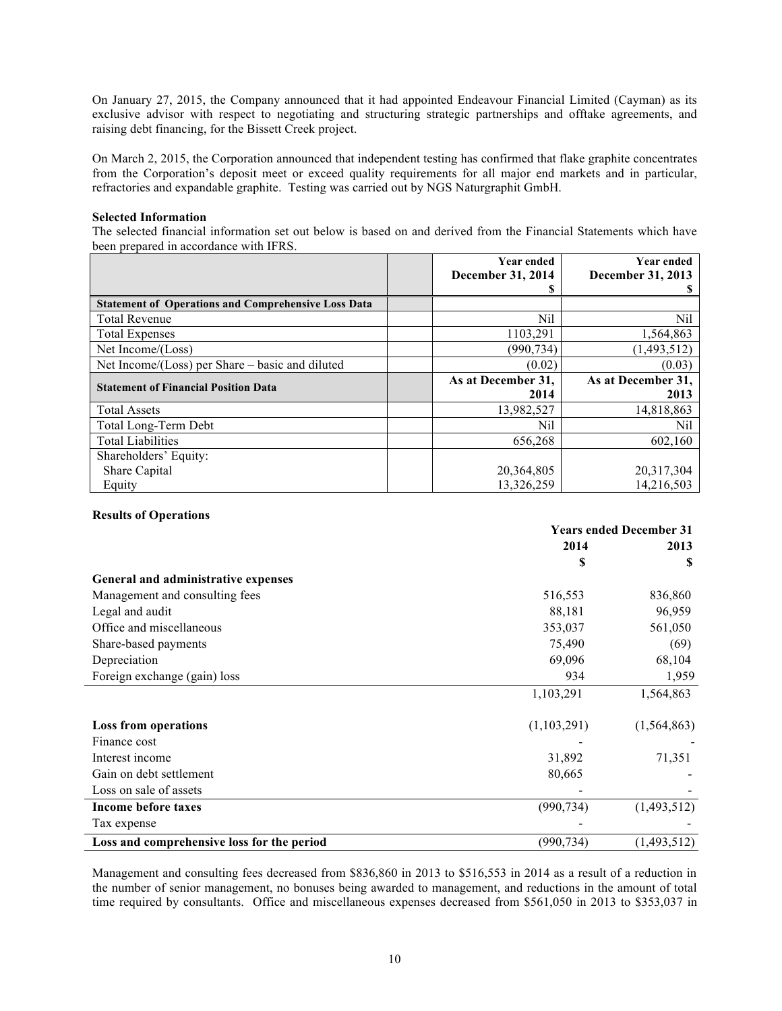On January 27, 2015, the Company announced that it had appointed Endeavour Financial Limited (Cayman) as its exclusive advisor with respect to negotiating and structuring strategic partnerships and offtake agreements, and raising debt financing, for the Bissett Creek project.

On March 2, 2015, the Corporation announced that independent testing has confirmed that flake graphite concentrates from the Corporation's deposit meet or exceed quality requirements for all major end markets and in particular, refractories and expandable graphite. Testing was carried out by NGS Naturgraphit GmbH.

#### **Selected Information**

The selected financial information set out below is based on and derived from the Financial Statements which have been prepared in accordance with IFRS.

|                                                            | <b>Year ended</b><br>December 31, 2014 | <b>Year ended</b><br>December 31, 2013 |
|------------------------------------------------------------|----------------------------------------|----------------------------------------|
|                                                            | ä                                      | S.                                     |
| <b>Statement of Operations and Comprehensive Loss Data</b> |                                        |                                        |
| <b>Total Revenue</b>                                       | Nil                                    | Nil                                    |
| <b>Total Expenses</b>                                      | 1103,291                               | 1,564,863                              |
| Net Income/(Loss)                                          | (990,734)                              | (1,493,512)                            |
| Net Income/(Loss) per Share – basic and diluted            | (0.02)                                 | (0.03)                                 |
|                                                            |                                        |                                        |
|                                                            | As at December 31,                     | As at December 31,                     |
| <b>Statement of Financial Position Data</b>                | 2014                                   | 2013                                   |
| <b>Total Assets</b>                                        | 13,982,527                             | 14,818,863                             |
| Total Long-Term Debt                                       | Nil                                    | Nil                                    |
| <b>Total Liabilities</b>                                   | 656,268                                | 602,160                                |
| Shareholders' Equity:                                      |                                        |                                        |
| Share Capital                                              | 20,364,805                             | 20,317,304                             |

#### **Results of Operations**

|                                            | <b>Years ended December 31</b> |               |  |
|--------------------------------------------|--------------------------------|---------------|--|
|                                            | 2014                           | 2013          |  |
|                                            | S                              | S             |  |
| General and administrative expenses        |                                |               |  |
| Management and consulting fees             | 516,553                        | 836,860       |  |
| Legal and audit                            | 88,181                         | 96,959        |  |
| Office and miscellaneous                   | 353,037                        | 561,050       |  |
| Share-based payments                       | 75,490                         | (69)          |  |
| Depreciation                               | 69,096                         | 68,104        |  |
| Foreign exchange (gain) loss               | 934                            | 1,959         |  |
|                                            | 1,103,291                      | 1,564,863     |  |
| <b>Loss from operations</b>                | (1,103,291)                    | (1, 564, 863) |  |
| Finance cost                               |                                |               |  |
| Interest income                            | 31,892                         | 71,351        |  |
| Gain on debt settlement                    | 80,665                         |               |  |
| Loss on sale of assets                     |                                |               |  |
| Income before taxes                        | (990, 734)                     | (1,493,512)   |  |
| Tax expense                                |                                |               |  |
| Loss and comprehensive loss for the period | (990, 734)                     | (1,493,512)   |  |

Management and consulting fees decreased from \$836,860 in 2013 to \$516,553 in 2014 as a result of a reduction in the number of senior management, no bonuses being awarded to management, and reductions in the amount of total time required by consultants. Office and miscellaneous expenses decreased from \$561,050 in 2013 to \$353,037 in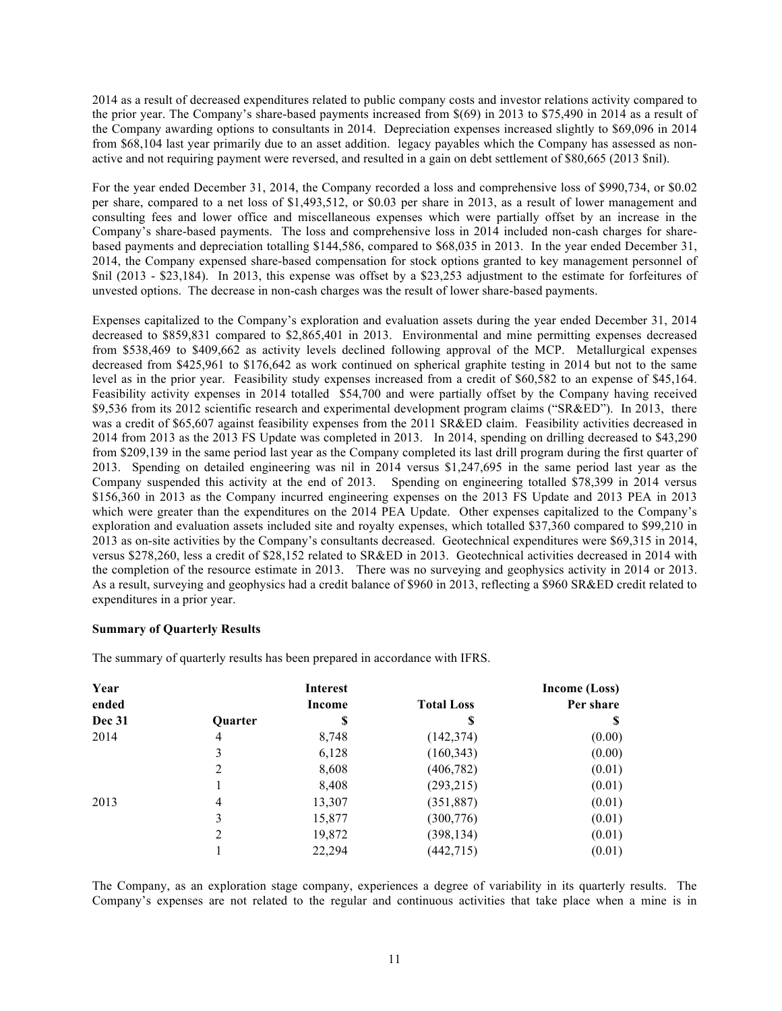2014 as a result of decreased expenditures related to public company costs and investor relations activity compared to the prior year. The Company's share-based payments increased from \$(69) in 2013 to \$75,490 in 2014 as a result of the Company awarding options to consultants in 2014. Depreciation expenses increased slightly to \$69,096 in 2014 from \$68,104 last year primarily due to an asset addition. legacy payables which the Company has assessed as nonactive and not requiring payment were reversed, and resulted in a gain on debt settlement of \$80,665 (2013 \$nil).

For the year ended December 31, 2014, the Company recorded a loss and comprehensive loss of \$990,734, or \$0.02 per share, compared to a net loss of \$1,493,512, or \$0.03 per share in 2013, as a result of lower management and consulting fees and lower office and miscellaneous expenses which were partially offset by an increase in the Company's share-based payments. The loss and comprehensive loss in 2014 included non-cash charges for sharebased payments and depreciation totalling \$144,586, compared to \$68,035 in 2013. In the year ended December 31, 2014, the Company expensed share-based compensation for stock options granted to key management personnel of \$nil (2013 - \$23,184). In 2013, this expense was offset by a \$23,253 adjustment to the estimate for forfeitures of unvested options. The decrease in non-cash charges was the result of lower share-based payments.

Expenses capitalized to the Company's exploration and evaluation assets during the year ended December 31, 2014 decreased to \$859,831 compared to \$2,865,401 in 2013. Environmental and mine permitting expenses decreased from \$538,469 to \$409,662 as activity levels declined following approval of the MCP. Metallurgical expenses decreased from \$425,961 to \$176,642 as work continued on spherical graphite testing in 2014 but not to the same level as in the prior year. Feasibility study expenses increased from a credit of \$60,582 to an expense of \$45,164. Feasibility activity expenses in 2014 totalled \$54,700 and were partially offset by the Company having received \$9,536 from its 2012 scientific research and experimental development program claims ("SR&ED"). In 2013, there was a credit of \$65,607 against feasibility expenses from the 2011 SR&ED claim. Feasibility activities decreased in 2014 from 2013 as the 2013 FS Update was completed in 2013. In 2014, spending on drilling decreased to \$43,290 from \$209,139 in the same period last year as the Company completed its last drill program during the first quarter of 2013. Spending on detailed engineering was nil in 2014 versus \$1,247,695 in the same period last year as the Company suspended this activity at the end of 2013. Spending on engineering totalled \$78,399 in 2014 versus \$156,360 in 2013 as the Company incurred engineering expenses on the 2013 FS Update and 2013 PEA in 2013 which were greater than the expenditures on the 2014 PEA Update. Other expenses capitalized to the Company's exploration and evaluation assets included site and royalty expenses, which totalled \$37,360 compared to \$99,210 in 2013 as on-site activities by the Company's consultants decreased. Geotechnical expenditures were \$69,315 in 2014, versus \$278,260, less a credit of \$28,152 related to SR&ED in 2013. Geotechnical activities decreased in 2014 with the completion of the resource estimate in 2013. There was no surveying and geophysics activity in 2014 or 2013. As a result, surveying and geophysics had a credit balance of \$960 in 2013, reflecting a \$960 SR&ED credit related to expenditures in a prior year.

# **Summary of Quarterly Results**

The summary of quarterly results has been prepared in accordance with IFRS.

| Year          |                | <b>Interest</b> |                   | Income (Loss) |
|---------------|----------------|-----------------|-------------------|---------------|
| ended         |                | <b>Income</b>   | <b>Total Loss</b> | Per share     |
| <b>Dec 31</b> | <b>Ouarter</b> | J               | Ъ                 | S             |
| 2014          | 4              | 8,748           | (142, 374)        | (0.00)        |
|               | 3              | 6,128           | (160, 343)        | (0.00)        |
|               | 2              | 8,608           | (406, 782)        | (0.01)        |
|               |                | 8,408           | (293, 215)        | (0.01)        |
| 2013          | 4              | 13,307          | (351, 887)        | (0.01)        |
|               | 3              | 15,877          | (300, 776)        | (0.01)        |
|               | 2              | 19,872          | (398, 134)        | (0.01)        |
|               |                | 22,294          | (442, 715)        | (0.01)        |

The Company, as an exploration stage company, experiences a degree of variability in its quarterly results. The Company's expenses are not related to the regular and continuous activities that take place when a mine is in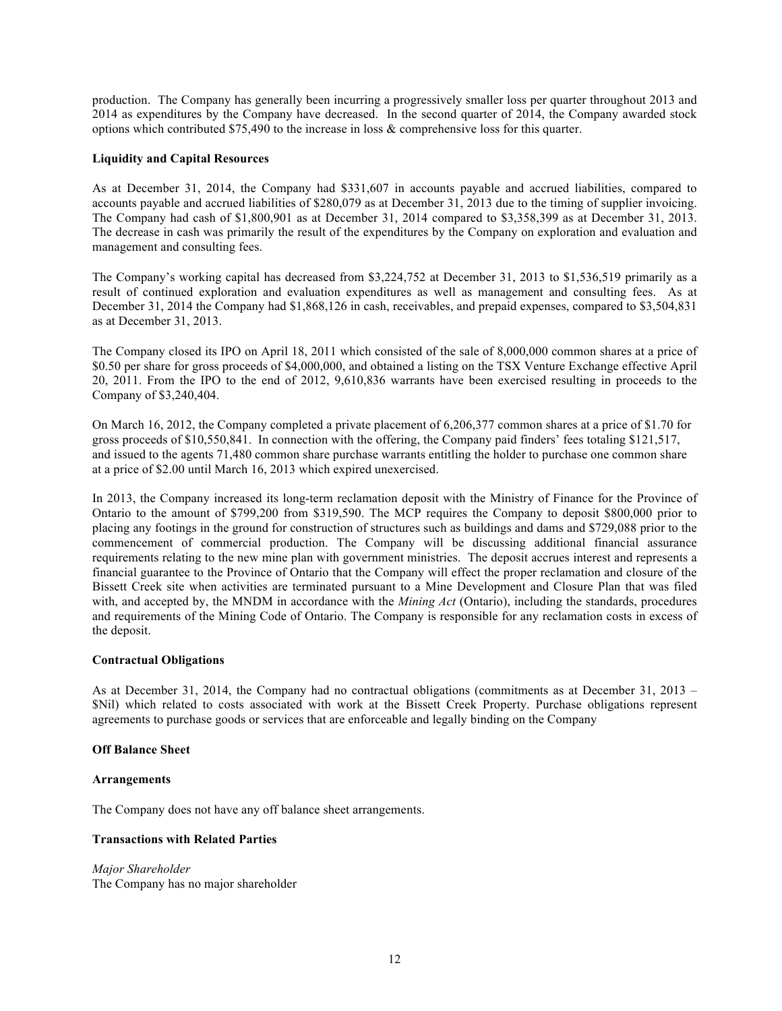production. The Company has generally been incurring a progressively smaller loss per quarter throughout 2013 and 2014 as expenditures by the Company have decreased. In the second quarter of 2014, the Company awarded stock options which contributed \$75,490 to the increase in loss & comprehensive loss for this quarter.

## **Liquidity and Capital Resources**

As at December 31, 2014, the Company had \$331,607 in accounts payable and accrued liabilities, compared to accounts payable and accrued liabilities of \$280,079 as at December 31, 2013 due to the timing of supplier invoicing. The Company had cash of \$1,800,901 as at December 31, 2014 compared to \$3,358,399 as at December 31, 2013. The decrease in cash was primarily the result of the expenditures by the Company on exploration and evaluation and management and consulting fees.

The Company's working capital has decreased from \$3,224,752 at December 31, 2013 to \$1,536,519 primarily as a result of continued exploration and evaluation expenditures as well as management and consulting fees. As at December 31, 2014 the Company had \$1,868,126 in cash, receivables, and prepaid expenses, compared to \$3,504,831 as at December 31, 2013.

The Company closed its IPO on April 18, 2011 which consisted of the sale of 8,000,000 common shares at a price of \$0.50 per share for gross proceeds of \$4,000,000, and obtained a listing on the TSX Venture Exchange effective April 20, 2011. From the IPO to the end of 2012, 9,610,836 warrants have been exercised resulting in proceeds to the Company of \$3,240,404.

On March 16, 2012, the Company completed a private placement of 6,206,377 common shares at a price of \$1.70 for gross proceeds of \$10,550,841. In connection with the offering, the Company paid finders' fees totaling \$121,517, and issued to the agents 71,480 common share purchase warrants entitling the holder to purchase one common share at a price of \$2.00 until March 16, 2013 which expired unexercised.

In 2013, the Company increased its long-term reclamation deposit with the Ministry of Finance for the Province of Ontario to the amount of \$799,200 from \$319,590. The MCP requires the Company to deposit \$800,000 prior to placing any footings in the ground for construction of structures such as buildings and dams and \$729,088 prior to the commencement of commercial production. The Company will be discussing additional financial assurance requirements relating to the new mine plan with government ministries. The deposit accrues interest and represents a financial guarantee to the Province of Ontario that the Company will effect the proper reclamation and closure of the Bissett Creek site when activities are terminated pursuant to a Mine Development and Closure Plan that was filed with, and accepted by, the MNDM in accordance with the *Mining Act* (Ontario), including the standards, procedures and requirements of the Mining Code of Ontario. The Company is responsible for any reclamation costs in excess of the deposit.

#### **Contractual Obligations**

As at December 31, 2014, the Company had no contractual obligations (commitments as at December 31, 2013 – \$Nil) which related to costs associated with work at the Bissett Creek Property. Purchase obligations represent agreements to purchase goods or services that are enforceable and legally binding on the Company

#### **Off Balance Sheet**

#### **Arrangements**

The Company does not have any off balance sheet arrangements.

# **Transactions with Related Parties**

*Major Shareholder* The Company has no major shareholder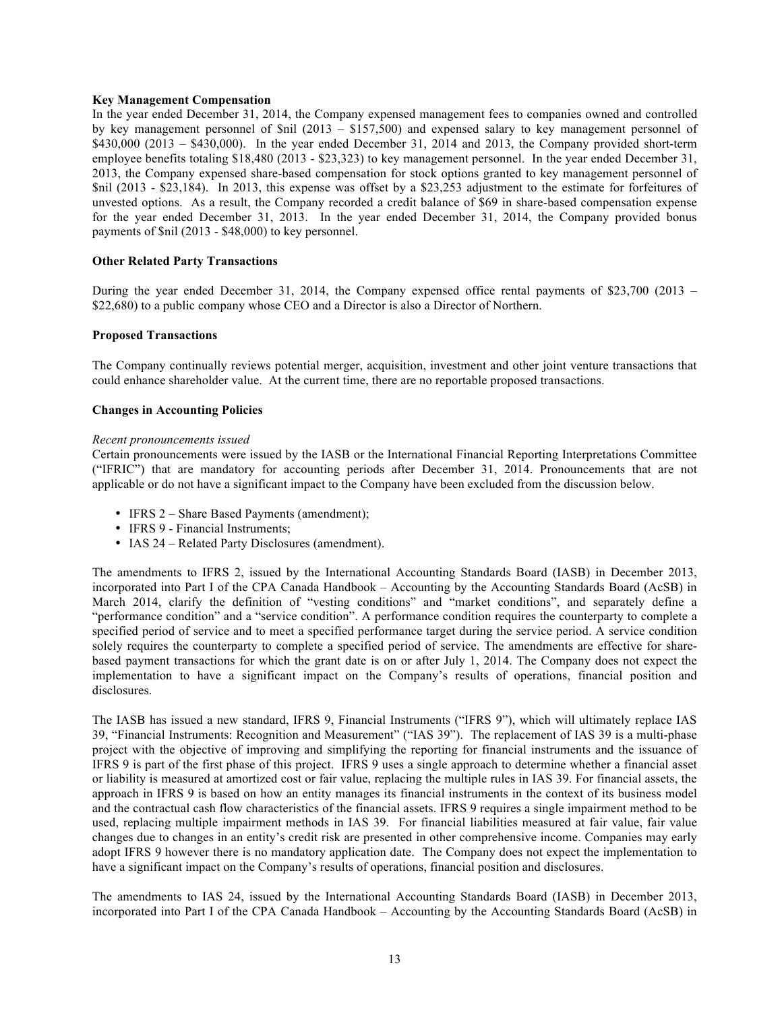#### **Key Management Compensation**

In the year ended December 31, 2014, the Company expensed management fees to companies owned and controlled by key management personnel of \$nil (2013 – \$157,500) and expensed salary to key management personnel of \$430,000 (2013 – \$430,000). In the year ended December 31, 2014 and 2013, the Company provided short-term employee benefits totaling \$18,480 (2013 - \$23,323) to key management personnel. In the year ended December 31, 2013, the Company expensed share-based compensation for stock options granted to key management personnel of \$nil (2013 - \$23,184). In 2013, this expense was offset by a \$23,253 adjustment to the estimate for forfeitures of unvested options. As a result, the Company recorded a credit balance of \$69 in share-based compensation expense for the year ended December 31, 2013. In the year ended December 31, 2014, the Company provided bonus payments of \$nil (2013 - \$48,000) to key personnel.

## **Other Related Party Transactions**

During the year ended December 31, 2014, the Company expensed office rental payments of \$23,700 (2013 – \$22,680) to a public company whose CEO and a Director is also a Director of Northern.

### **Proposed Transactions**

The Company continually reviews potential merger, acquisition, investment and other joint venture transactions that could enhance shareholder value. At the current time, there are no reportable proposed transactions.

## **Changes in Accounting Policies**

#### *Recent pronouncements issued*

Certain pronouncements were issued by the IASB or the International Financial Reporting Interpretations Committee ("IFRIC") that are mandatory for accounting periods after December 31, 2014. Pronouncements that are not applicable or do not have a significant impact to the Company have been excluded from the discussion below.

- IFRS 2 Share Based Payments (amendment);
- IFRS 9 Financial Instruments;
- IAS 24 Related Party Disclosures (amendment).

The amendments to IFRS 2, issued by the International Accounting Standards Board (IASB) in December 2013, incorporated into Part I of the CPA Canada Handbook – Accounting by the Accounting Standards Board (AcSB) in March 2014, clarify the definition of "vesting conditions" and "market conditions", and separately define a "performance condition" and a "service condition". A performance condition requires the counterparty to complete a specified period of service and to meet a specified performance target during the service period. A service condition solely requires the counterparty to complete a specified period of service. The amendments are effective for sharebased payment transactions for which the grant date is on or after July 1, 2014. The Company does not expect the implementation to have a significant impact on the Company's results of operations, financial position and disclosures.

The IASB has issued a new standard, IFRS 9, Financial Instruments ("IFRS 9"), which will ultimately replace IAS 39, "Financial Instruments: Recognition and Measurement" ("IAS 39"). The replacement of IAS 39 is a multi-phase project with the objective of improving and simplifying the reporting for financial instruments and the issuance of IFRS 9 is part of the first phase of this project. IFRS 9 uses a single approach to determine whether a financial asset or liability is measured at amortized cost or fair value, replacing the multiple rules in IAS 39. For financial assets, the approach in IFRS 9 is based on how an entity manages its financial instruments in the context of its business model and the contractual cash flow characteristics of the financial assets. IFRS 9 requires a single impairment method to be used, replacing multiple impairment methods in IAS 39. For financial liabilities measured at fair value, fair value changes due to changes in an entity's credit risk are presented in other comprehensive income. Companies may early adopt IFRS 9 however there is no mandatory application date. The Company does not expect the implementation to have a significant impact on the Company's results of operations, financial position and disclosures.

The amendments to IAS 24, issued by the International Accounting Standards Board (IASB) in December 2013, incorporated into Part I of the CPA Canada Handbook – Accounting by the Accounting Standards Board (AcSB) in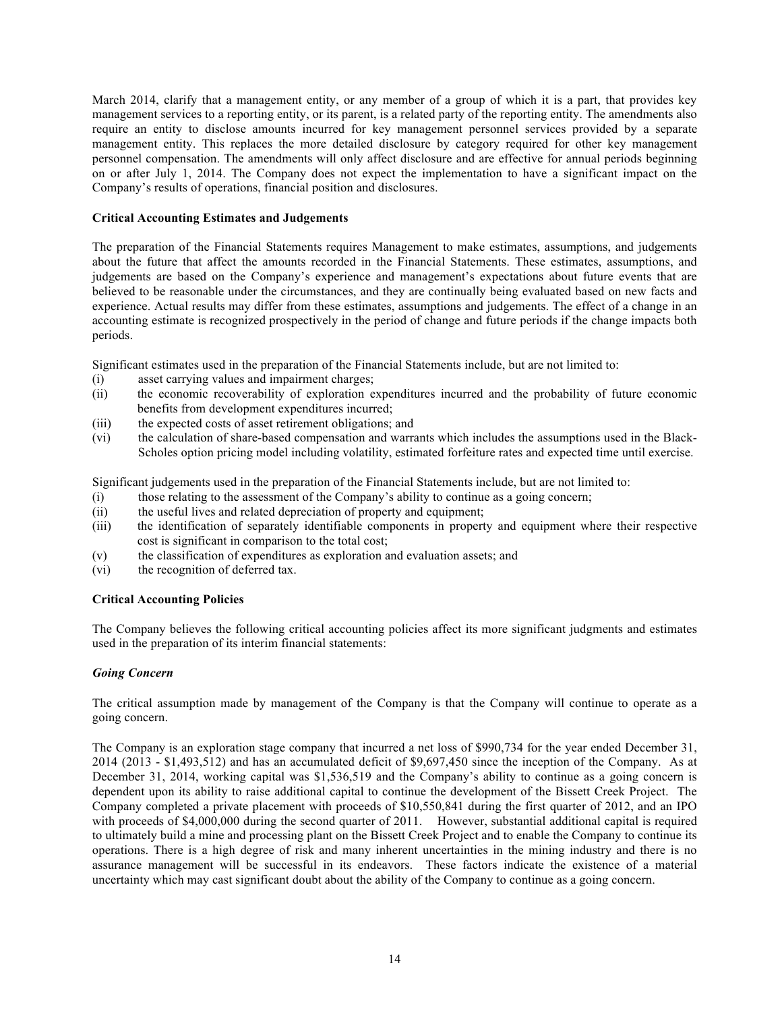March 2014, clarify that a management entity, or any member of a group of which it is a part, that provides key management services to a reporting entity, or its parent, is a related party of the reporting entity. The amendments also require an entity to disclose amounts incurred for key management personnel services provided by a separate management entity. This replaces the more detailed disclosure by category required for other key management personnel compensation. The amendments will only affect disclosure and are effective for annual periods beginning on or after July 1, 2014. The Company does not expect the implementation to have a significant impact on the Company's results of operations, financial position and disclosures.

## **Critical Accounting Estimates and Judgements**

The preparation of the Financial Statements requires Management to make estimates, assumptions, and judgements about the future that affect the amounts recorded in the Financial Statements. These estimates, assumptions, and judgements are based on the Company's experience and management's expectations about future events that are believed to be reasonable under the circumstances, and they are continually being evaluated based on new facts and experience. Actual results may differ from these estimates, assumptions and judgements. The effect of a change in an accounting estimate is recognized prospectively in the period of change and future periods if the change impacts both periods.

Significant estimates used in the preparation of the Financial Statements include, but are not limited to:

- (i) asset carrying values and impairment charges;
- (ii) the economic recoverability of exploration expenditures incurred and the probability of future economic benefits from development expenditures incurred;
- (iii) the expected costs of asset retirement obligations; and
- (vi) the calculation of share-based compensation and warrants which includes the assumptions used in the Black-Scholes option pricing model including volatility, estimated forfeiture rates and expected time until exercise.

Significant judgements used in the preparation of the Financial Statements include, but are not limited to:

- (i) those relating to the assessment of the Company's ability to continue as a going concern;
- (ii) the useful lives and related depreciation of property and equipment;
- (iii) the identification of separately identifiable components in property and equipment where their respective cost is significant in comparison to the total cost;
- (v) the classification of expenditures as exploration and evaluation assets; and
- (vi) the recognition of deferred tax.

#### **Critical Accounting Policies**

The Company believes the following critical accounting policies affect its more significant judgments and estimates used in the preparation of its interim financial statements:

#### *Going Concern*

The critical assumption made by management of the Company is that the Company will continue to operate as a going concern.

The Company is an exploration stage company that incurred a net loss of \$990,734 for the year ended December 31, 2014 (2013 - \$1,493,512) and has an accumulated deficit of \$9,697,450 since the inception of the Company. As at December 31, 2014, working capital was \$1,536,519 and the Company's ability to continue as a going concern is dependent upon its ability to raise additional capital to continue the development of the Bissett Creek Project. The Company completed a private placement with proceeds of \$10,550,841 during the first quarter of 2012, and an IPO with proceeds of \$4,000,000 during the second quarter of 2011. However, substantial additional capital is required to ultimately build a mine and processing plant on the Bissett Creek Project and to enable the Company to continue its operations. There is a high degree of risk and many inherent uncertainties in the mining industry and there is no assurance management will be successful in its endeavors. These factors indicate the existence of a material uncertainty which may cast significant doubt about the ability of the Company to continue as a going concern.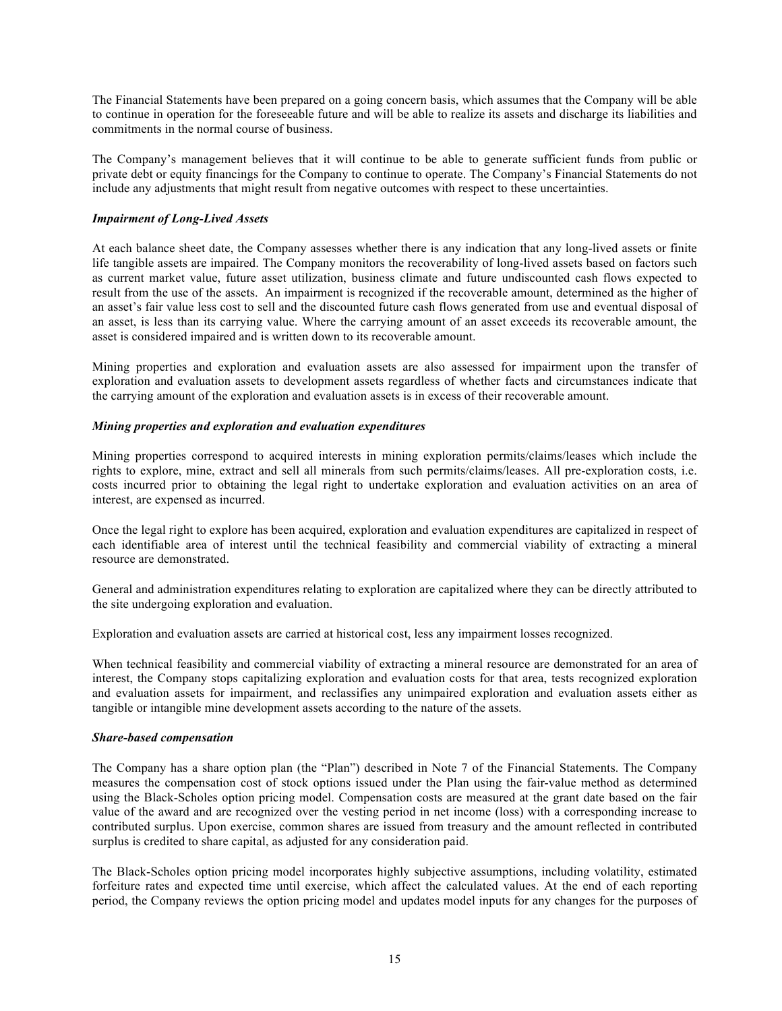The Financial Statements have been prepared on a going concern basis, which assumes that the Company will be able to continue in operation for the foreseeable future and will be able to realize its assets and discharge its liabilities and commitments in the normal course of business.

The Company's management believes that it will continue to be able to generate sufficient funds from public or private debt or equity financings for the Company to continue to operate. The Company's Financial Statements do not include any adjustments that might result from negative outcomes with respect to these uncertainties.

## *Impairment of Long-Lived Assets*

At each balance sheet date, the Company assesses whether there is any indication that any long-lived assets or finite life tangible assets are impaired. The Company monitors the recoverability of long-lived assets based on factors such as current market value, future asset utilization, business climate and future undiscounted cash flows expected to result from the use of the assets. An impairment is recognized if the recoverable amount, determined as the higher of an asset's fair value less cost to sell and the discounted future cash flows generated from use and eventual disposal of an asset, is less than its carrying value. Where the carrying amount of an asset exceeds its recoverable amount, the asset is considered impaired and is written down to its recoverable amount.

Mining properties and exploration and evaluation assets are also assessed for impairment upon the transfer of exploration and evaluation assets to development assets regardless of whether facts and circumstances indicate that the carrying amount of the exploration and evaluation assets is in excess of their recoverable amount.

## *Mining properties and exploration and evaluation expenditures*

Mining properties correspond to acquired interests in mining exploration permits/claims/leases which include the rights to explore, mine, extract and sell all minerals from such permits/claims/leases. All pre-exploration costs, i.e. costs incurred prior to obtaining the legal right to undertake exploration and evaluation activities on an area of interest, are expensed as incurred.

Once the legal right to explore has been acquired, exploration and evaluation expenditures are capitalized in respect of each identifiable area of interest until the technical feasibility and commercial viability of extracting a mineral resource are demonstrated.

General and administration expenditures relating to exploration are capitalized where they can be directly attributed to the site undergoing exploration and evaluation.

Exploration and evaluation assets are carried at historical cost, less any impairment losses recognized.

When technical feasibility and commercial viability of extracting a mineral resource are demonstrated for an area of interest, the Company stops capitalizing exploration and evaluation costs for that area, tests recognized exploration and evaluation assets for impairment, and reclassifies any unimpaired exploration and evaluation assets either as tangible or intangible mine development assets according to the nature of the assets.

#### *Share-based compensation*

The Company has a share option plan (the "Plan") described in Note 7 of the Financial Statements. The Company measures the compensation cost of stock options issued under the Plan using the fair-value method as determined using the Black-Scholes option pricing model. Compensation costs are measured at the grant date based on the fair value of the award and are recognized over the vesting period in net income (loss) with a corresponding increase to contributed surplus. Upon exercise, common shares are issued from treasury and the amount reflected in contributed surplus is credited to share capital, as adjusted for any consideration paid.

The Black-Scholes option pricing model incorporates highly subjective assumptions, including volatility, estimated forfeiture rates and expected time until exercise, which affect the calculated values. At the end of each reporting period, the Company reviews the option pricing model and updates model inputs for any changes for the purposes of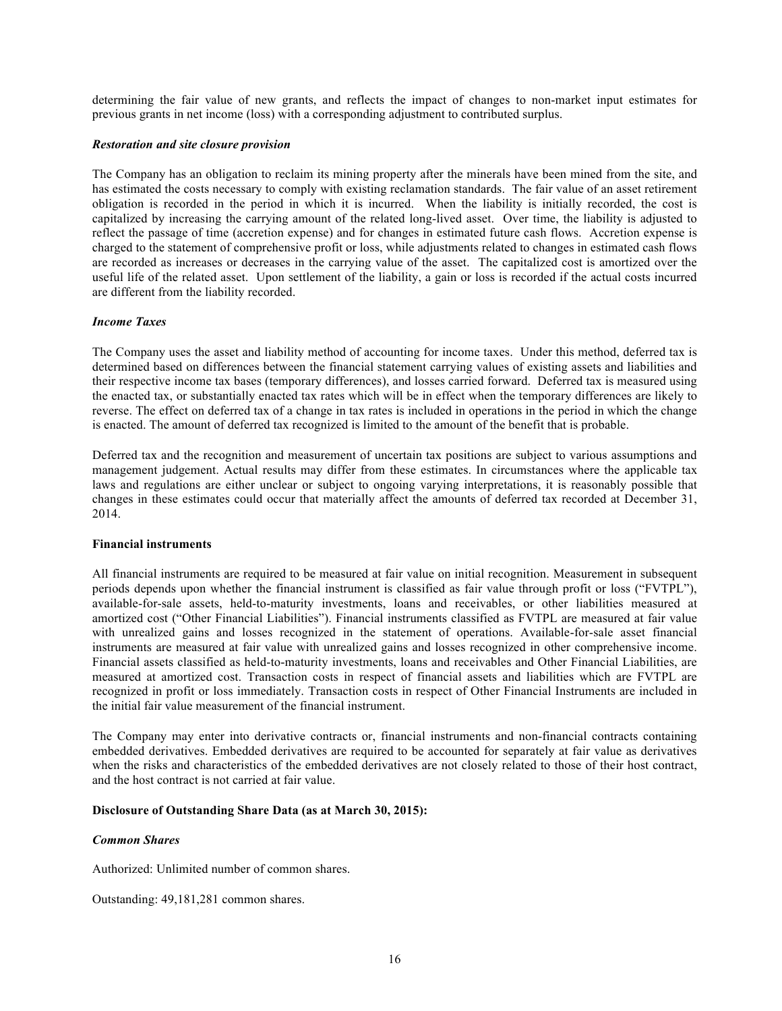determining the fair value of new grants, and reflects the impact of changes to non-market input estimates for previous grants in net income (loss) with a corresponding adjustment to contributed surplus.

#### *Restoration and site closure provision*

The Company has an obligation to reclaim its mining property after the minerals have been mined from the site, and has estimated the costs necessary to comply with existing reclamation standards. The fair value of an asset retirement obligation is recorded in the period in which it is incurred. When the liability is initially recorded, the cost is capitalized by increasing the carrying amount of the related long-lived asset. Over time, the liability is adjusted to reflect the passage of time (accretion expense) and for changes in estimated future cash flows. Accretion expense is charged to the statement of comprehensive profit or loss, while adjustments related to changes in estimated cash flows are recorded as increases or decreases in the carrying value of the asset. The capitalized cost is amortized over the useful life of the related asset. Upon settlement of the liability, a gain or loss is recorded if the actual costs incurred are different from the liability recorded.

#### *Income Taxes*

The Company uses the asset and liability method of accounting for income taxes. Under this method, deferred tax is determined based on differences between the financial statement carrying values of existing assets and liabilities and their respective income tax bases (temporary differences), and losses carried forward. Deferred tax is measured using the enacted tax, or substantially enacted tax rates which will be in effect when the temporary differences are likely to reverse. The effect on deferred tax of a change in tax rates is included in operations in the period in which the change is enacted. The amount of deferred tax recognized is limited to the amount of the benefit that is probable.

Deferred tax and the recognition and measurement of uncertain tax positions are subject to various assumptions and management judgement. Actual results may differ from these estimates. In circumstances where the applicable tax laws and regulations are either unclear or subject to ongoing varying interpretations, it is reasonably possible that changes in these estimates could occur that materially affect the amounts of deferred tax recorded at December 31, 2014.

#### **Financial instruments**

All financial instruments are required to be measured at fair value on initial recognition. Measurement in subsequent periods depends upon whether the financial instrument is classified as fair value through profit or loss ("FVTPL"), available-for-sale assets, held-to-maturity investments, loans and receivables, or other liabilities measured at amortized cost ("Other Financial Liabilities"). Financial instruments classified as FVTPL are measured at fair value with unrealized gains and losses recognized in the statement of operations. Available-for-sale asset financial instruments are measured at fair value with unrealized gains and losses recognized in other comprehensive income. Financial assets classified as held-to-maturity investments, loans and receivables and Other Financial Liabilities, are measured at amortized cost. Transaction costs in respect of financial assets and liabilities which are FVTPL are recognized in profit or loss immediately. Transaction costs in respect of Other Financial Instruments are included in the initial fair value measurement of the financial instrument.

The Company may enter into derivative contracts or, financial instruments and non-financial contracts containing embedded derivatives. Embedded derivatives are required to be accounted for separately at fair value as derivatives when the risks and characteristics of the embedded derivatives are not closely related to those of their host contract, and the host contract is not carried at fair value.

#### **Disclosure of Outstanding Share Data (as at March 30, 2015):**

#### *Common Shares*

Authorized: Unlimited number of common shares.

Outstanding: 49,181,281 common shares.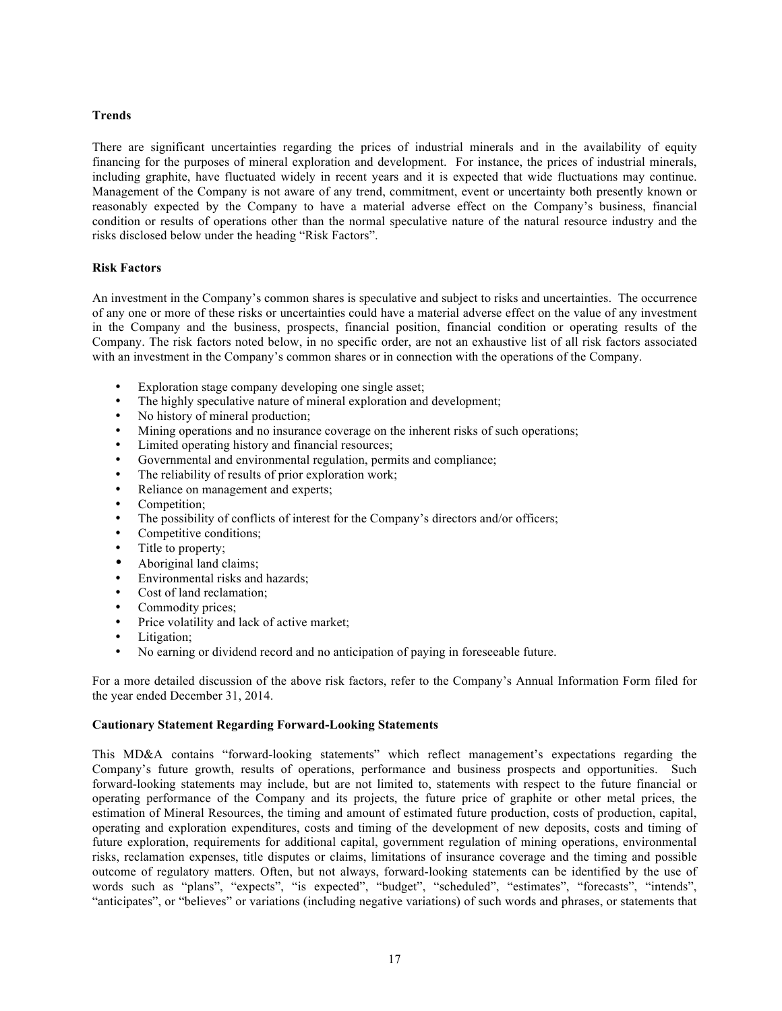## **Trends**

There are significant uncertainties regarding the prices of industrial minerals and in the availability of equity financing for the purposes of mineral exploration and development. For instance, the prices of industrial minerals, including graphite, have fluctuated widely in recent years and it is expected that wide fluctuations may continue. Management of the Company is not aware of any trend, commitment, event or uncertainty both presently known or reasonably expected by the Company to have a material adverse effect on the Company's business, financial condition or results of operations other than the normal speculative nature of the natural resource industry and the risks disclosed below under the heading "Risk Factors".

### **Risk Factors**

An investment in the Company's common shares is speculative and subject to risks and uncertainties. The occurrence of any one or more of these risks or uncertainties could have a material adverse effect on the value of any investment in the Company and the business, prospects, financial position, financial condition or operating results of the Company. The risk factors noted below, in no specific order, are not an exhaustive list of all risk factors associated with an investment in the Company's common shares or in connection with the operations of the Company.

- Exploration stage company developing one single asset;
- The highly speculative nature of mineral exploration and development;
- No history of mineral production;
- Mining operations and no insurance coverage on the inherent risks of such operations;
- Limited operating history and financial resources;
- Governmental and environmental regulation, permits and compliance;
- The reliability of results of prior exploration work;<br>• Reliance on management and experts:
- Reliance on management and experts;
- Competition;<br>• The possibility
- The possibility of conflicts of interest for the Company's directors and/or officers;
- Competitive conditions;
- Title to property;
- Aboriginal land claims:
- Environmental risks and hazards;
- Cost of land reclamation;
- Commodity prices;<br>• Price volatility and
- Price volatility and lack of active market;
- Litigation;<br>• No earning
- No earning or dividend record and no anticipation of paying in foreseeable future.

For a more detailed discussion of the above risk factors, refer to the Company's Annual Information Form filed for the year ended December 31, 2014.

### **Cautionary Statement Regarding Forward-Looking Statements**

This MD&A contains "forward-looking statements" which reflect management's expectations regarding the Company's future growth, results of operations, performance and business prospects and opportunities. Such forward-looking statements may include, but are not limited to, statements with respect to the future financial or operating performance of the Company and its projects, the future price of graphite or other metal prices, the estimation of Mineral Resources, the timing and amount of estimated future production, costs of production, capital, operating and exploration expenditures, costs and timing of the development of new deposits, costs and timing of future exploration, requirements for additional capital, government regulation of mining operations, environmental risks, reclamation expenses, title disputes or claims, limitations of insurance coverage and the timing and possible outcome of regulatory matters. Often, but not always, forward-looking statements can be identified by the use of words such as "plans", "expects", "is expected", "budget", "scheduled", "estimates", "forecasts", "intends", "anticipates", or "believes" or variations (including negative variations) of such words and phrases, or statements that